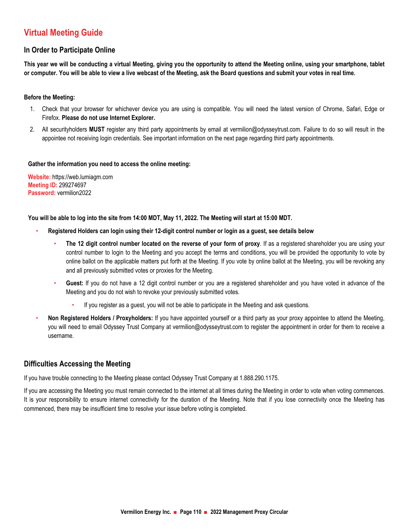# **Xirtual Meeting Guide**

#### **ln Order to Participate Online**

This year we will be conducting a virtual Meeting, giving you the opportunity to attend the Meeting online, using your smartphone, tablet or computer. You will be able to view a live webcast of the Meeting, ask the Board questions and submit your votes in real time.

#### **Before the Meeting:**

- 1. Check that your browser for whichever device you are using is compatible. You will need the latest version of Chrome, Safari, Edge or  $P$ Firefox. Please do not use Internet Explorer.
- 2. All securityholders **MUST** register any third party appointments by email at vermilion@odysseytrust.com. Failure to do so will result in the appointee not receiving login credentials. See important information on the next page regarding third party appointments.

#### **Sather the information you need to access the online meeting:**

**Website:** https://web.lumiagm.com **Meeting ID: 299274697 Password:** vermilion2022

You will be able to log into the site from 14:00 MDT, May 11, 2022. The Meeting will start at 15:00 MDT.

- · Registered Holders can login using their 12-digit control number or login as a guest, see details below
	- The 12 digit control number located on the reverse of your form of proxy. If as a registered shareholder you are using your control number to login to the Meeting and you accept the terms and conditions, you will be provided the opportunity to vote by online ballot on the applicable matters put forth at the Meeting. If you vote by online ballot at the Meeting, you will be revoking any and all previously submitted votes or proxies for the Meeting.
	- Guest: If you do not have a 12 digit control number or you are a registered shareholder and you have voted in advance of the Meeting and you do not wish to revoke your previously submitted votes.
		- If you register as a guest, you will not be able to participate in the Meeting and ask questions.
- **Non Registered Holders / Proxyholders:** If you have appointed yourself or a third party as your proxy appointee to attend the Meeting. you will need to email Odyssey Trust Company at vermilion@odysseytrust.com to register the appointment in order for them to receive a username.

#### **Difficulties Accessing the Meeting**

If you have trouble connecting to the Meeting please contact Odyssey Trust Company at 1.888.290.1175.

If you are accessing the Meeting you must remain connected to the internet at all times during the Meeting in order to vote when voting commences. It is your responsibility to ensure internet connectivity for the duration of the Meeting. Note that if you lose connectivity once the Meeting has commenced, there may be insufficient time to resolve your issue before voting is completed.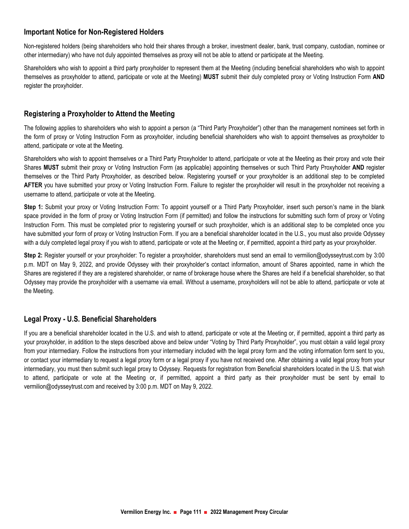### **<u>kmportant Notice for Non-Registered Holders</u>**

Non-registered holders (being shareholders who hold their shares through a broker, investment dealer, bank, trust company, custodian, nominee or other intermediary) who have not duly appointed themselves as proxy will not be able to attend or participate at the Meeting.

Shareholders who wish to appoint a third party proxyholder to represent them at the Meeting (including beneficial shareholders who wish to appoint themselves as proxyholder to attend, participate or vote at the Meeting) MUST submit their duly completed proxy or Voting Instruction Form AND register the proxyholder.

### **Registering a Proxyholder to Attend the Meeting**

The following applies to shareholders who wish to appoint a person (a "Third Party Proxyholder") other than the management nominees set forth in the form of proxy or Voting Instruction Form as proxyholder, including beneficial shareholders who wish to appoint themselves as proxyholder to attend, participate or vote at the Meeting.

Shareholders who wish to appoint themselves or a Third Party Proxyholder to attend, participate or vote at the Meeting as their proxy and vote their Shares MUST submit their proxy or Voting Instruction Form (as applicable) appointing themselves or such Third Party Proxyholder AND register themselves or the Third Party Proxyholder, as described below. Registering yourself or your proxyholder is an additional step to be completed **AFTER** you have submitted your proxy or Voting Instruction Form. Failure to register the proxyholder will result in the proxyholder not receiving a username to attend, participate or vote at the Meeting.

**Step 1:** Submit your proxy or Voting Instruction Form: To appoint yourself or a Third Party Proxyholder, insert such person's name in the blank space provided in the form of proxy or Voting Instruction Form (if permitted) and follow the instructions for submitting such form of proxy or Voting Instruction Form. This must be completed prior to registering yourself or such proxyholder, which is an additional step to be completed once you have submitted your form of proxy or Voting Instruction Form. If you are a beneficial shareholder located in the U.S., you must also provide Odyssey with a duly completed legal proxy if you wish to attend, participate or vote at the Meeting or, if permitted, appoint a third party as your proxyholder.

**Step 2:** Register yourself or your proxyholder: To register a proxyholder, shareholders must send an email to vermilion@odysseytrust.com by 3:00 p.m. MDT on May 9, 2022, and provide Odyssey with their proxyholder's contact information, amount of Shares appointed, name in which the Shares are registered if they are a registered shareholder, or name of brokerage house where the Shares are held if a beneficial shareholder, so that Odyssey may provide the proxyholder with a username via email. Without a username, proxyholders will not be able to attend, participate or vote at the Meeting.

# **%793>)DAJK ., 7@78;5;3>,:3D7:A>67DE**

If you are a beneficial shareholder located in the U.S. and wish to attend, participate or vote at the Meeting or, if permitted, appoint a third party as your proxyholder, in addition to the steps described above and below under "Voting by Third Party Proxyholder", you must obtain a valid legal proxy from your intermediary. Follow the instructions from your intermediary included with the legal proxy form and the voting information form sent to you, or contact your intermediary to request a legal proxy form or a legal proxy if you have not received one. After obtaining a valid legal proxy from your intermediary, you must then submit such legal proxy to Odyssey. Requests for registration from Beneficial shareholders located in the U.S. that wish to attend, participate or vote at the Meeting or, if permitted, appoint a third party as their proxyholder must be sent by email to vermilion@odysseytrust.com and received by 3:00 p.m. MDT on May 9, 2022.